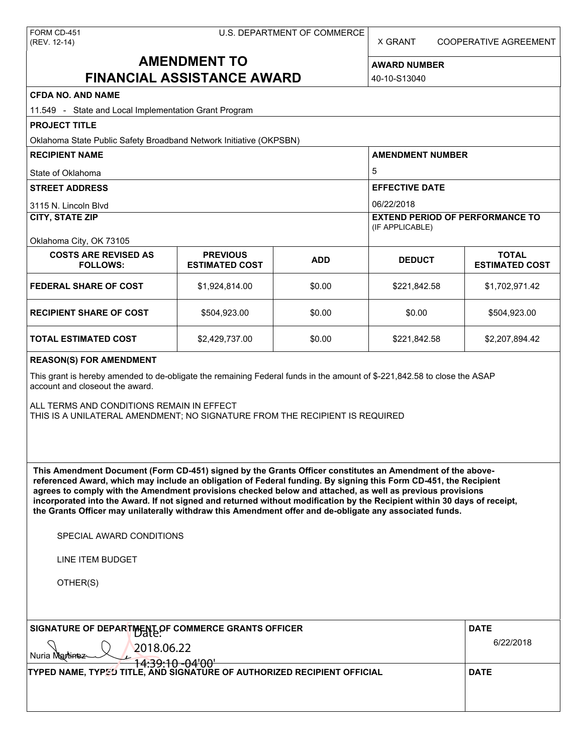X GRANT COOPERATIVE AGREEMENT

# **AMENDMENT TO FINANCIAL ASSISTANCE AWARD**

**AWARD NUMBER** 40-10-S13040

| <b>CFDA NO. AND NAME</b>                                                                                                                                                                                                                                                                                                                                                                                                                                                                                                                                                          |                                          |             |                                                           |                                       |  |
|-----------------------------------------------------------------------------------------------------------------------------------------------------------------------------------------------------------------------------------------------------------------------------------------------------------------------------------------------------------------------------------------------------------------------------------------------------------------------------------------------------------------------------------------------------------------------------------|------------------------------------------|-------------|-----------------------------------------------------------|---------------------------------------|--|
| 11.549 - State and Local Implementation Grant Program                                                                                                                                                                                                                                                                                                                                                                                                                                                                                                                             |                                          |             |                                                           |                                       |  |
| <b>PROJECT TITLE</b>                                                                                                                                                                                                                                                                                                                                                                                                                                                                                                                                                              |                                          |             |                                                           |                                       |  |
| Oklahoma State Public Safety Broadband Network Initiative (OKPSBN)                                                                                                                                                                                                                                                                                                                                                                                                                                                                                                                |                                          |             |                                                           |                                       |  |
| <b>RECIPIENT NAME</b>                                                                                                                                                                                                                                                                                                                                                                                                                                                                                                                                                             |                                          |             | <b>AMENDMENT NUMBER</b>                                   |                                       |  |
| State of Oklahoma                                                                                                                                                                                                                                                                                                                                                                                                                                                                                                                                                                 |                                          |             | 5                                                         |                                       |  |
| <b>STREET ADDRESS</b>                                                                                                                                                                                                                                                                                                                                                                                                                                                                                                                                                             |                                          |             | <b>EFFECTIVE DATE</b>                                     |                                       |  |
| 3115 N. Lincoln Blvd                                                                                                                                                                                                                                                                                                                                                                                                                                                                                                                                                              |                                          |             | 06/22/2018                                                |                                       |  |
| <b>CITY, STATE ZIP</b>                                                                                                                                                                                                                                                                                                                                                                                                                                                                                                                                                            |                                          |             | <b>EXTEND PERIOD OF PERFORMANCE TO</b><br>(IF APPLICABLE) |                                       |  |
| Oklahoma City, OK 73105                                                                                                                                                                                                                                                                                                                                                                                                                                                                                                                                                           |                                          |             |                                                           |                                       |  |
| <b>COSTS ARE REVISED AS</b><br><b>FOLLOWS:</b>                                                                                                                                                                                                                                                                                                                                                                                                                                                                                                                                    | <b>PREVIOUS</b><br><b>ESTIMATED COST</b> | <b>ADD</b>  | <b>DEDUCT</b>                                             | <b>TOTAL</b><br><b>ESTIMATED COST</b> |  |
| <b>FEDERAL SHARE OF COST</b>                                                                                                                                                                                                                                                                                                                                                                                                                                                                                                                                                      | \$1,924,814.00                           | \$0.00      | \$221,842.58                                              | \$1,702,971.42                        |  |
| <b>RECIPIENT SHARE OF COST</b>                                                                                                                                                                                                                                                                                                                                                                                                                                                                                                                                                    | \$504,923.00                             | \$0.00      | \$0.00                                                    | \$504,923.00                          |  |
| <b>TOTAL ESTIMATED COST</b>                                                                                                                                                                                                                                                                                                                                                                                                                                                                                                                                                       | \$2,429,737.00                           | \$0.00      | \$221,842.58                                              | \$2,207,894.42                        |  |
| <b>REASON(S) FOR AMENDMENT</b>                                                                                                                                                                                                                                                                                                                                                                                                                                                                                                                                                    |                                          |             |                                                           |                                       |  |
| This grant is hereby amended to de-obligate the remaining Federal funds in the amount of \$-221,842.58 to close the ASAP<br>account and closeout the award.<br>ALL TERMS AND CONDITIONS REMAIN IN EFFECT<br>THIS IS A UNILATERAL AMENDMENT; NO SIGNATURE FROM THE RECIPIENT IS REQUIRED                                                                                                                                                                                                                                                                                           |                                          |             |                                                           |                                       |  |
| This Amendment Document (Form CD-451) signed by the Grants Officer constitutes an Amendment of the above-<br>referenced Award, which may include an obligation of Federal funding. By signing this Form CD-451, the Recipient<br>agrees to comply with the Amendment provisions checked below and attached, as well as previous provisions<br>incorporated into the Award. If not signed and returned without modification by the Recipient within 30 days of receipt,<br>the Grants Officer may unilaterally withdraw this Amendment offer and de-obligate any associated funds. |                                          |             |                                                           |                                       |  |
| SPECIAL AWARD CONDITIONS                                                                                                                                                                                                                                                                                                                                                                                                                                                                                                                                                          |                                          |             |                                                           |                                       |  |
| <b>LINE ITEM BUDGET</b>                                                                                                                                                                                                                                                                                                                                                                                                                                                                                                                                                           |                                          |             |                                                           |                                       |  |
| OTHER(S)                                                                                                                                                                                                                                                                                                                                                                                                                                                                                                                                                                          |                                          |             |                                                           |                                       |  |
|                                                                                                                                                                                                                                                                                                                                                                                                                                                                                                                                                                                   |                                          |             |                                                           |                                       |  |
| SIGNATURE OF DEPARTMENT OF COMMERCE GRANTS OFFICER                                                                                                                                                                                                                                                                                                                                                                                                                                                                                                                                |                                          |             |                                                           | <b>DATE</b>                           |  |
|                                                                                                                                                                                                                                                                                                                                                                                                                                                                                                                                                                                   | 6/22/2018                                |             |                                                           |                                       |  |
| 2018.06.22<br><b>Mantine</b>                                                                                                                                                                                                                                                                                                                                                                                                                                                                                                                                                      |                                          |             |                                                           |                                       |  |
| 4:39:10 -04'00<br>TYPED NAME, TYPED TITLE, AND SIGNATURE OF AUTHORIZED RECIPIENT OFFICIAL                                                                                                                                                                                                                                                                                                                                                                                                                                                                                         |                                          | <b>DATE</b> |                                                           |                                       |  |
|                                                                                                                                                                                                                                                                                                                                                                                                                                                                                                                                                                                   |                                          |             |                                                           |                                       |  |